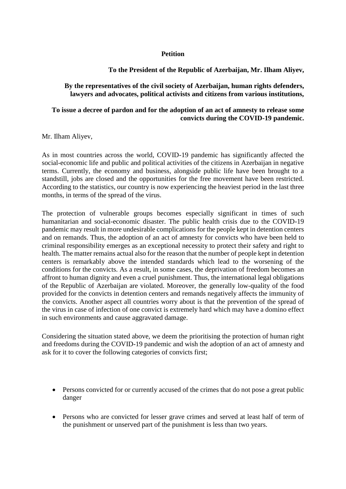## **Petition**

## **To the President of the Republic of Azerbaijan, Mr. Ilham Aliyev,**

## **By the representatives of the civil society of Azerbaijan, human rights defenders, lawyers and advocates, political activists and citizens from various institutions,**

## **To issue a decree of pardon and for the adoption of an act of amnesty to release some convicts during the COVID-19 pandemic.**

Mr. Ilham Aliyev,

As in most countries across the world, COVID-19 pandemic has significantly affected the social-economic life and public and political activities of the citizens in Azerbaijan in negative terms. Currently, the economy and business, alongside public life have been brought to a standstill, jobs are closed and the opportunities for the free movement have been restricted. According to the statistics, our country is now experiencing the heaviest period in the last three months, in terms of the spread of the virus.

The protection of vulnerable groups becomes especially significant in times of such humanitarian and social-economic disaster. The public health crisis due to the COVID-19 pandemic may result in more undesirable complications for the people kept in detention centers and on remands. Thus, the adoption of an act of amnesty for convicts who have been held to criminal responsibility emerges as an exceptional necessity to protect their safety and right to health. The matter remains actual also for the reason that the number of people kept in detention centers is remarkably above the intended standards which lead to the worsening of the conditions for the convicts. As a result, in some cases, the deprivation of freedom becomes an affront to human dignity and even a cruel punishment. Thus, the international legal obligations of the Republic of Azerbaijan are violated. Moreover, the generally low-quality of the food provided for the convicts in detention centers and remands negatively affects the immunity of the convicts. Another aspect all countries worry about is that the prevention of the spread of the virus in case of infection of one convict is extremely hard which may have a domino effect in such environments and cause aggravated damage.

Considering the situation stated above, we deem the prioritising the protection of human right and freedoms during the COVID-19 pandemic and wish the adoption of an act of amnesty and ask for it to cover the following categories of convicts first;

- Persons convicted for or currently accused of the crimes that do not pose a great public danger
- Persons who are convicted for lesser grave crimes and served at least half of term of the punishment or unserved part of the punishment is less than two years.